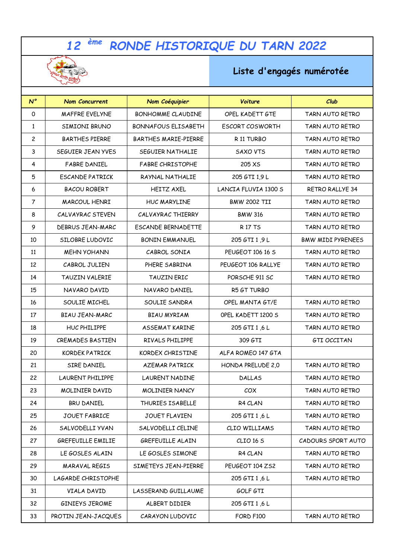## *ème RONDE HISTORIQUE DU TARN 2022*



## **Liste d'engagés numérotée**

| $N^{\circ}$    | <b>Nom Concurrent</b>   | Nom Coéquipier             | Voiture                     | Club                     |
|----------------|-------------------------|----------------------------|-----------------------------|--------------------------|
| 0              | <b>MAFFRE EVELYNE</b>   | <b>BONHOMME CLAUDINE</b>   | OPEL KADETT GTE             | TARN AUTO RETRO          |
| $\mathbf{1}$   | SIMIONI BRUNO           | <b>BONNAFOUS ELISABETH</b> | <b>ESCORT COSWORTH</b>      | TARN AUTO RETRO          |
| 2              | <b>BARTHES PIERRE</b>   | BARTHES MARIE-PIERRE       | R 11 TURBO                  | TARN AUTO RETRO          |
| 3              | SEGUIER JEAN YVES       | SEGUIER NATHALIE           | <b>SAXO VTS</b>             | TARN AUTO RETRO          |
| 4              | <b>FABRE DANIEL</b>     | <b>FABRE CHRISTOPHE</b>    | 205 XS                      | TARN AUTO RETRO          |
| 5              | <b>ESCANDE PATRICK</b>  | RAYNAL NATHALIE            | 205 GTI 1,9 L               | TARN AUTO RETRO          |
| 6              | <b>BACOU ROBERT</b>     | <b>HEITZ AXEL</b>          | <b>LANCIA FLUVIA 1300 S</b> | <b>RETRO RALLYE 34</b>   |
| $\overline{7}$ | MARCOUL HENRI           | HUC MARYLINE               | <b>BMW 2002 TII</b>         | TARN AUTO RETRO          |
| 8              | CALVAYRAC STEVEN        | CALVAYRAC THIERRY          | <b>BMW 316</b>              | TARN AUTO RETRO          |
| 9              | DEBRUS JEAN-MARC        | ESCANDE BERNADETTE         | <b>R17TS</b>                | TARN AUTO RETRO          |
| 10             | SILOBRE LUDOVIC         | <b>BONIN EMMANUEL</b>      | 205 GTI 1,9 L               | <b>BMW MIDI PYRENEES</b> |
| 11             | <b>MEHN YOHANN</b>      | CABROL SONIA               | PEUGEOT 106 16 S            | TARN AUTO RETRO          |
| 12             | CABROL JULIEN           | PHERE SABRINA              | PEUGEOT 106 RALLYE          | TARN AUTO RETRO          |
| 14             | <b>TAUZIN VALERIE</b>   | TAUZIN ERIC                | PORSCHE 911 SC              | TARN AUTO RETRO          |
| 15             | NAVARO DAVID            | NAVARO DANIEL              | R5 GT TURBO                 |                          |
| 16             | SOULIE MICHEL           | SOULIE SANDRA              | OPEL MANTA GT/E             | TARN AUTO RETRO          |
| 17             | <b>BIAU JEAN-MARC</b>   | <b>BIAU MYRIAM</b>         | OPEL KADETT 1200 S          | TARN AUTO RETRO          |
| 18             | HUC PHILIPPE            | <b>ASSEMAT KARINE</b>      | 205 GTI 1,6 L               | TARN AUTO RETRO          |
| 19             | CREMADES BASTIEN        | RIVALS PHILIPPE            | 309 GTI                     | GTI OCCITAN              |
| 20             | <b>KORDEK PATRICK</b>   | KORDEX CHRISTINE           | ALFA ROMEO 147 GTA          |                          |
| 21             | SIRE DANIEL             | <b>AZEMAR PATRICK</b>      | HONDA PRELUDE 2,0           | TARN AUTO RETRO          |
| 22             | <b>LAURENT PHILIPPE</b> | <b>LAURENT NADINE</b>      | <b>DALLAS</b>               | TARN AUTO RETRO          |
| 23             | MOLINIER DAVID          | <b>MOLINIER NANCY</b>      | COX                         | TARN AUTO RETRO          |
| 24             | BRU DANIEL              | THURIES ISABELLE           | R4 CLAN                     | TARN AUTO RETRO          |
| 25             | JOUET FABRICE           | JOUET FLAVIEN              | 205 GTI 1,6 L               | TARN AUTO RETRO          |
| 26             | SALVODELLI YVAN         | SALVODELLI CELINE          | CLIO WILLIAMS               | TARN AUTO RETRO          |
| 27             | GREFEUILLE EMILIE       | GREFEUILLE ALAIN           | CLIO 16 S                   | CADOURS SPORT AUTO       |
| 28             | LE GOSLES ALAIN         | LE GOSLES SIMONE           | R4 CLAN                     | TARN AUTO RETRO          |
| 29             | MARAVAL REGIS           | SIMETEYS JEAN-PIERRE       | PEUGEOT 104 ZS2             | TARN AUTO RETRO          |
| 30             | LAGARDE CHRISTOPHE      |                            | 205 GTI 1,6 L               | TARN AUTO RETRO          |
| 31             | VIALA DAVID             | LASSERAND GUILLAUME        | GOLF GTI                    |                          |
| 32             | GINIEYS JEROME          | ALBERT DIDIER              | 205 GTI 1,6 L               |                          |
| 33             | PROTIN JEAN-JACQUES     | CARAYON LUDOVIC            | FORD F100                   | TARN AUTO RETRO          |